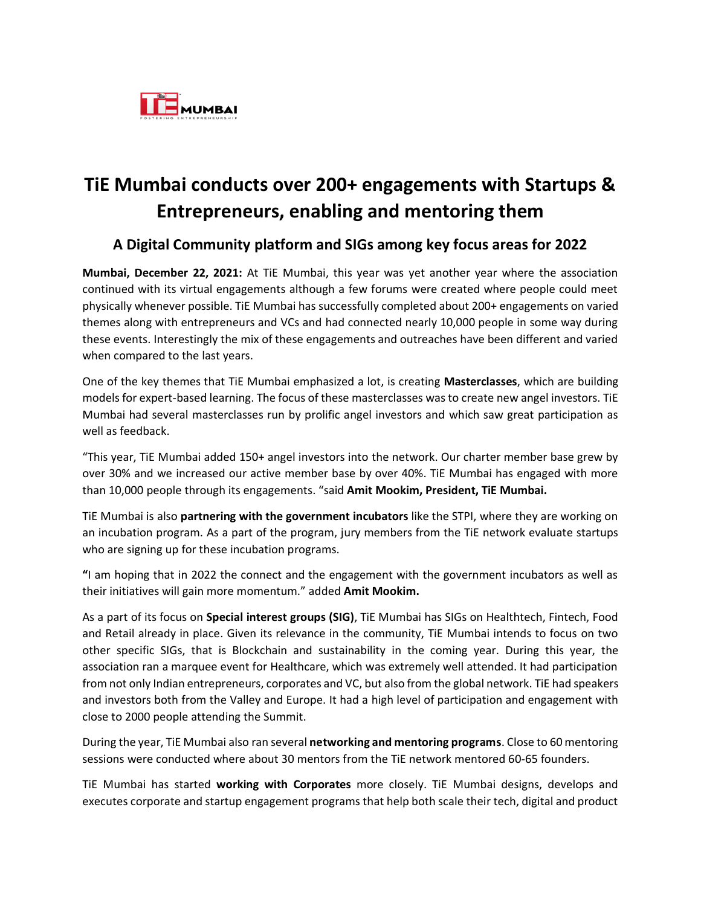

## **TiE Mumbai conducts over 200+ engagements with Startups & Entrepreneurs, enabling and mentoring them**

## **A Digital Community platform and SIGs among key focus areas for 2022**

**Mumbai, December 22, 2021:** At TiE Mumbai, this year was yet another year where the association continued with its virtual engagements although a few forums were created where people could meet physically whenever possible. TiE Mumbai has successfully completed about 200+ engagements on varied themes along with entrepreneurs and VCs and had connected nearly 10,000 people in some way during these events. Interestingly the mix of these engagements and outreaches have been different and varied when compared to the last years.

One of the key themes that TiE Mumbai emphasized a lot, is creating **Masterclasses**, which are building models for expert-based learning. The focus of these masterclasses was to create new angel investors. TiE Mumbai had several masterclasses run by prolific angel investors and which saw great participation as well as feedback.

"This year, TiE Mumbai added 150+ angel investors into the network. Our charter member base grew by over 30% and we increased our active member base by over 40%. TiE Mumbai has engaged with more than 10,000 people through its engagements. "said **Amit Mookim, President, TiE Mumbai.** 

TiE Mumbai is also **partnering with the government incubators** like the STPI, where they are working on an incubation program. As a part of the program, jury members from the TiE network evaluate startups who are signing up for these incubation programs.

**"**I am hoping that in 2022 the connect and the engagement with the government incubators as well as their initiatives will gain more momentum." added **Amit Mookim.**

As a part of its focus on **Special interest groups (SIG)**, TiE Mumbai has SIGs on Healthtech, Fintech, Food and Retail already in place. Given its relevance in the community, TiE Mumbai intends to focus on two other specific SIGs, that is Blockchain and sustainability in the coming year. During this year, the association ran a marquee event for Healthcare, which was extremely well attended. It had participation from not only Indian entrepreneurs, corporates and VC, but also from the global network. TiE had speakers and investors both from the Valley and Europe. It had a high level of participation and engagement with close to 2000 people attending the Summit.

During the year, TiE Mumbai also ran several **networking and mentoring programs**. Close to 60 mentoring sessions were conducted where about 30 mentors from the TiE network mentored 60-65 founders.

TiE Mumbai has started **working with Corporates** more closely. TiE Mumbai designs, develops and executes corporate and startup engagement programs that help both scale their tech, digital and product